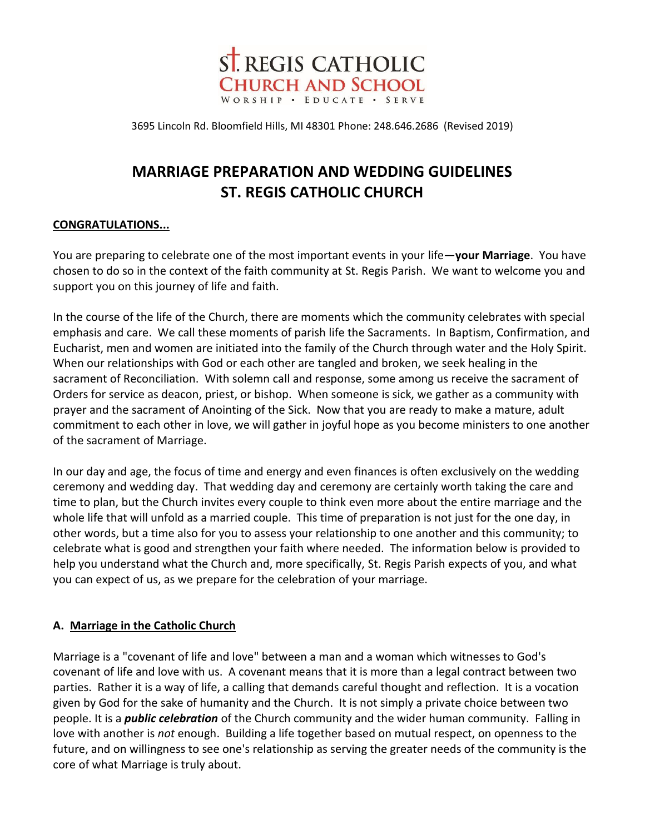

3695 Lincoln Rd. Bloomfield Hills, MI 48301 Phone: 248.646.2686 (Revised 2019)

# **MARRIAGE PREPARATION AND WEDDING GUIDELINES ST. REGIS CATHOLIC CHURCH**

## **CONGRATULATIONS...**

You are preparing to celebrate one of the most important events in your life—**your Marriage**. You have chosen to do so in the context of the faith community at St. Regis Parish. We want to welcome you and support you on this journey of life and faith.

In the course of the life of the Church, there are moments which the community celebrates with special emphasis and care. We call these moments of parish life the Sacraments. In Baptism, Confirmation, and Eucharist, men and women are initiated into the family of the Church through water and the Holy Spirit. When our relationships with God or each other are tangled and broken, we seek healing in the sacrament of Reconciliation. With solemn call and response, some among us receive the sacrament of Orders for service as deacon, priest, or bishop. When someone is sick, we gather as a community with prayer and the sacrament of Anointing of the Sick. Now that you are ready to make a mature, adult commitment to each other in love, we will gather in joyful hope as you become ministers to one another of the sacrament of Marriage.

In our day and age, the focus of time and energy and even finances is often exclusively on the wedding ceremony and wedding day. That wedding day and ceremony are certainly worth taking the care and time to plan, but the Church invites every couple to think even more about the entire marriage and the whole life that will unfold as a married couple. This time of preparation is not just for the one day, in other words, but a time also for you to assess your relationship to one another and this community; to celebrate what is good and strengthen your faith where needed. The information below is provided to help you understand what the Church and, more specifically, St. Regis Parish expects of you, and what you can expect of us, as we prepare for the celebration of your marriage.

## **A. Marriage in the Catholic Church**

Marriage is a "covenant of life and love" between a man and a woman which witnesses to God's covenant of life and love with us. A covenant means that it is more than a legal contract between two parties. Rather it is a way of life, a calling that demands careful thought and reflection. It is a vocation given by God for the sake of humanity and the Church. It is not simply a private choice between two people. It is a *public celebration* of the Church community and the wider human community. Falling in love with another is *not* enough. Building a life together based on mutual respect, on openness to the future, and on willingness to see one's relationship as serving the greater needs of the community is the core of what Marriage is truly about.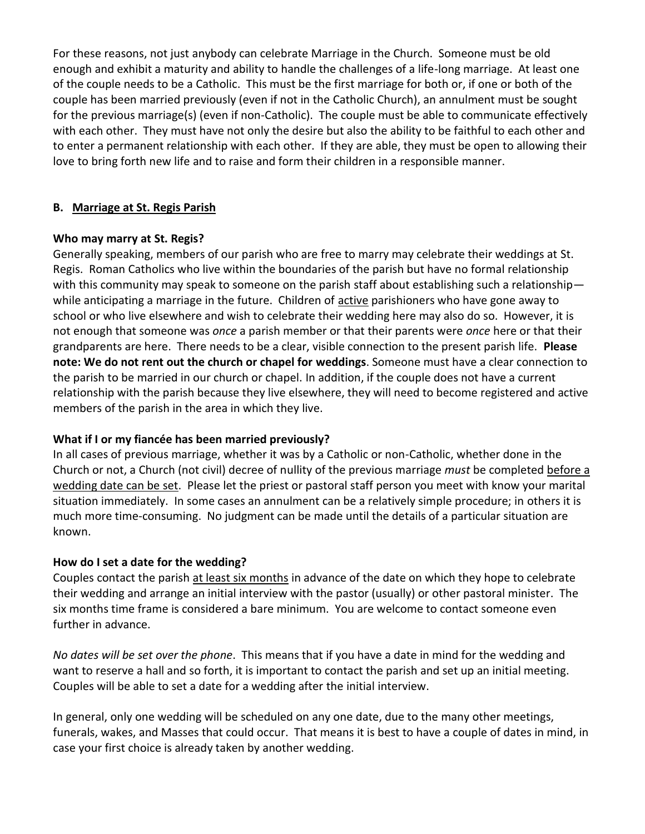For these reasons, not just anybody can celebrate Marriage in the Church. Someone must be old enough and exhibit a maturity and ability to handle the challenges of a life-long marriage. At least one of the couple needs to be a Catholic. This must be the first marriage for both or, if one or both of the couple has been married previously (even if not in the Catholic Church), an annulment must be sought for the previous marriage(s) (even if non-Catholic). The couple must be able to communicate effectively with each other. They must have not only the desire but also the ability to be faithful to each other and to enter a permanent relationship with each other. If they are able, they must be open to allowing their love to bring forth new life and to raise and form their children in a responsible manner.

#### **B. Marriage at St. Regis Parish**

#### **Who may marry at St. Regis?**

Generally speaking, members of our parish who are free to marry may celebrate their weddings at St. Regis. Roman Catholics who live within the boundaries of the parish but have no formal relationship with this community may speak to someone on the parish staff about establishing such a relationship while anticipating a marriage in the future. Children of active parishioners who have gone away to school or who live elsewhere and wish to celebrate their wedding here may also do so. However, it is not enough that someone was *once* a parish member or that their parents were *once* here or that their grandparents are here. There needs to be a clear, visible connection to the present parish life. **Please note: We do not rent out the church or chapel for weddings**. Someone must have a clear connection to the parish to be married in our church or chapel. In addition, if the couple does not have a current relationship with the parish because they live elsewhere, they will need to become registered and active members of the parish in the area in which they live.

## **What if I or my fiancée has been married previously?**

In all cases of previous marriage, whether it was by a Catholic or non-Catholic, whether done in the Church or not, a Church (not civil) decree of nullity of the previous marriage *must* be completed before a wedding date can be set. Please let the priest or pastoral staff person you meet with know your marital situation immediately. In some cases an annulment can be a relatively simple procedure; in others it is much more time-consuming. No judgment can be made until the details of a particular situation are known.

## **How do I set a date for the wedding?**

Couples contact the parish at least six months in advance of the date on which they hope to celebrate their wedding and arrange an initial interview with the pastor (usually) or other pastoral minister. The six months time frame is considered a bare minimum. You are welcome to contact someone even further in advance.

*No dates will be set over the phone*. This means that if you have a date in mind for the wedding and want to reserve a hall and so forth, it is important to contact the parish and set up an initial meeting. Couples will be able to set a date for a wedding after the initial interview.

In general, only one wedding will be scheduled on any one date, due to the many other meetings, funerals, wakes, and Masses that could occur. That means it is best to have a couple of dates in mind, in case your first choice is already taken by another wedding.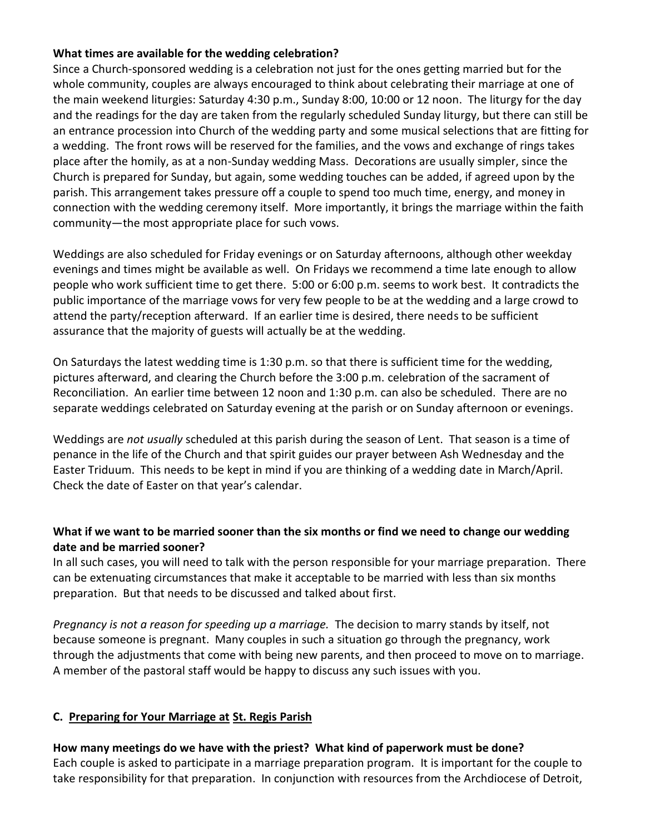#### **What times are available for the wedding celebration?**

Since a Church-sponsored wedding is a celebration not just for the ones getting married but for the whole community, couples are always encouraged to think about celebrating their marriage at one of the main weekend liturgies: Saturday 4:30 p.m., Sunday 8:00, 10:00 or 12 noon. The liturgy for the day and the readings for the day are taken from the regularly scheduled Sunday liturgy, but there can still be an entrance procession into Church of the wedding party and some musical selections that are fitting for a wedding. The front rows will be reserved for the families, and the vows and exchange of rings takes place after the homily, as at a non-Sunday wedding Mass. Decorations are usually simpler, since the Church is prepared for Sunday, but again, some wedding touches can be added, if agreed upon by the parish. This arrangement takes pressure off a couple to spend too much time, energy, and money in connection with the wedding ceremony itself. More importantly, it brings the marriage within the faith community—the most appropriate place for such vows.

Weddings are also scheduled for Friday evenings or on Saturday afternoons, although other weekday evenings and times might be available as well. On Fridays we recommend a time late enough to allow people who work sufficient time to get there. 5:00 or 6:00 p.m. seems to work best. It contradicts the public importance of the marriage vows for very few people to be at the wedding and a large crowd to attend the party/reception afterward. If an earlier time is desired, there needs to be sufficient assurance that the majority of guests will actually be at the wedding.

On Saturdays the latest wedding time is 1:30 p.m. so that there is sufficient time for the wedding, pictures afterward, and clearing the Church before the 3:00 p.m. celebration of the sacrament of Reconciliation. An earlier time between 12 noon and 1:30 p.m. can also be scheduled. There are no separate weddings celebrated on Saturday evening at the parish or on Sunday afternoon or evenings.

Weddings are *not usually* scheduled at this parish during the season of Lent. That season is a time of penance in the life of the Church and that spirit guides our prayer between Ash Wednesday and the Easter Triduum. This needs to be kept in mind if you are thinking of a wedding date in March/April. Check the date of Easter on that year's calendar.

# **What if we want to be married sooner than the six months or find we need to change our wedding date and be married sooner?**

In all such cases, you will need to talk with the person responsible for your marriage preparation. There can be extenuating circumstances that make it acceptable to be married with less than six months preparation. But that needs to be discussed and talked about first.

*Pregnancy is not a reason for speeding up a marriage.* The decision to marry stands by itself, not because someone is pregnant. Many couples in such a situation go through the pregnancy, work through the adjustments that come with being new parents, and then proceed to move on to marriage. A member of the pastoral staff would be happy to discuss any such issues with you.

# **C. Preparing for Your Marriage at St. Regis Parish**

# **How many meetings do we have with the priest? What kind of paperwork must be done?**

Each couple is asked to participate in a marriage preparation program. It is important for the couple to take responsibility for that preparation. In conjunction with resources from the Archdiocese of Detroit,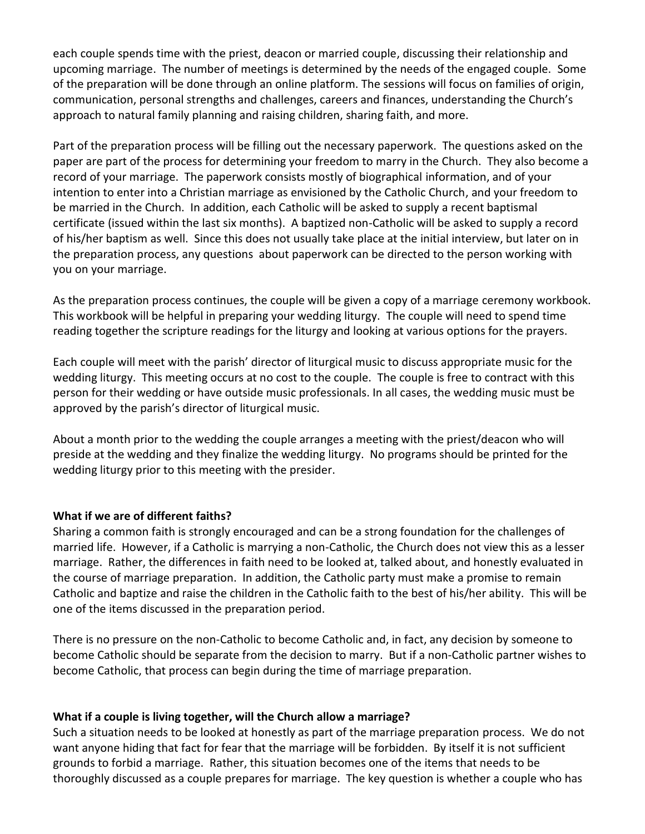each couple spends time with the priest, deacon or married couple, discussing their relationship and upcoming marriage. The number of meetings is determined by the needs of the engaged couple. Some of the preparation will be done through an online platform. The sessions will focus on families of origin, communication, personal strengths and challenges, careers and finances, understanding the Church's approach to natural family planning and raising children, sharing faith, and more.

Part of the preparation process will be filling out the necessary paperwork. The questions asked on the paper are part of the process for determining your freedom to marry in the Church. They also become a record of your marriage. The paperwork consists mostly of biographical information, and of your intention to enter into a Christian marriage as envisioned by the Catholic Church, and your freedom to be married in the Church. In addition, each Catholic will be asked to supply a recent baptismal certificate (issued within the last six months). A baptized non-Catholic will be asked to supply a record of his/her baptism as well. Since this does not usually take place at the initial interview, but later on in the preparation process, any questions about paperwork can be directed to the person working with you on your marriage.

As the preparation process continues, the couple will be given a copy of a marriage ceremony workbook. This workbook will be helpful in preparing your wedding liturgy. The couple will need to spend time reading together the scripture readings for the liturgy and looking at various options for the prayers.

Each couple will meet with the parish' director of liturgical music to discuss appropriate music for the wedding liturgy. This meeting occurs at no cost to the couple. The couple is free to contract with this person for their wedding or have outside music professionals. In all cases, the wedding music must be approved by the parish's director of liturgical music.

About a month prior to the wedding the couple arranges a meeting with the priest/deacon who will preside at the wedding and they finalize the wedding liturgy. No programs should be printed for the wedding liturgy prior to this meeting with the presider.

#### **What if we are of different faiths?**

Sharing a common faith is strongly encouraged and can be a strong foundation for the challenges of married life. However, if a Catholic is marrying a non-Catholic, the Church does not view this as a lesser marriage. Rather, the differences in faith need to be looked at, talked about, and honestly evaluated in the course of marriage preparation. In addition, the Catholic party must make a promise to remain Catholic and baptize and raise the children in the Catholic faith to the best of his/her ability. This will be one of the items discussed in the preparation period.

There is no pressure on the non-Catholic to become Catholic and, in fact, any decision by someone to become Catholic should be separate from the decision to marry. But if a non-Catholic partner wishes to become Catholic, that process can begin during the time of marriage preparation.

#### **What if a couple is living together, will the Church allow a marriage?**

Such a situation needs to be looked at honestly as part of the marriage preparation process. We do not want anyone hiding that fact for fear that the marriage will be forbidden. By itself it is not sufficient grounds to forbid a marriage. Rather, this situation becomes one of the items that needs to be thoroughly discussed as a couple prepares for marriage. The key question is whether a couple who has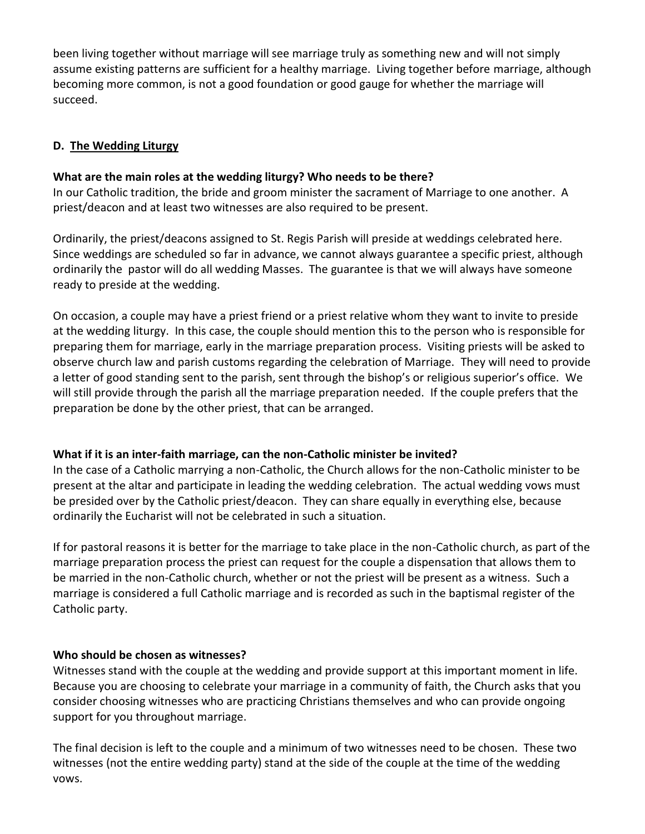been living together without marriage will see marriage truly as something new and will not simply assume existing patterns are sufficient for a healthy marriage. Living together before marriage, although becoming more common, is not a good foundation or good gauge for whether the marriage will succeed.

## **D. The Wedding Liturgy**

#### **What are the main roles at the wedding liturgy? Who needs to be there?**

In our Catholic tradition, the bride and groom minister the sacrament of Marriage to one another. A priest/deacon and at least two witnesses are also required to be present.

Ordinarily, the priest/deacons assigned to St. Regis Parish will preside at weddings celebrated here. Since weddings are scheduled so far in advance, we cannot always guarantee a specific priest, although ordinarily the pastor will do all wedding Masses. The guarantee is that we will always have someone ready to preside at the wedding.

On occasion, a couple may have a priest friend or a priest relative whom they want to invite to preside at the wedding liturgy. In this case, the couple should mention this to the person who is responsible for preparing them for marriage, early in the marriage preparation process. Visiting priests will be asked to observe church law and parish customs regarding the celebration of Marriage. They will need to provide a letter of good standing sent to the parish, sent through the bishop's or religious superior's office. We will still provide through the parish all the marriage preparation needed. If the couple prefers that the preparation be done by the other priest, that can be arranged.

## **What if it is an inter-faith marriage, can the non-Catholic minister be invited?**

In the case of a Catholic marrying a non-Catholic, the Church allows for the non-Catholic minister to be present at the altar and participate in leading the wedding celebration. The actual wedding vows must be presided over by the Catholic priest/deacon. They can share equally in everything else, because ordinarily the Eucharist will not be celebrated in such a situation.

If for pastoral reasons it is better for the marriage to take place in the non-Catholic church, as part of the marriage preparation process the priest can request for the couple a dispensation that allows them to be married in the non-Catholic church, whether or not the priest will be present as a witness. Such a marriage is considered a full Catholic marriage and is recorded as such in the baptismal register of the Catholic party.

#### **Who should be chosen as witnesses?**

Witnesses stand with the couple at the wedding and provide support at this important moment in life. Because you are choosing to celebrate your marriage in a community of faith, the Church asks that you consider choosing witnesses who are practicing Christians themselves and who can provide ongoing support for you throughout marriage.

The final decision is left to the couple and a minimum of two witnesses need to be chosen. These two witnesses (not the entire wedding party) stand at the side of the couple at the time of the wedding vows.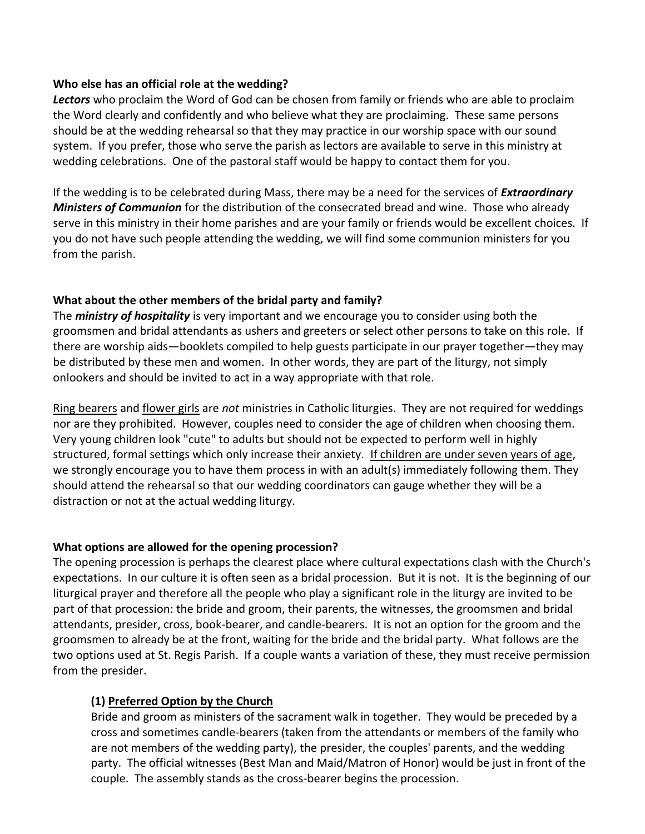#### **Who else has an official role at the wedding?**

*Lectors* who proclaim the Word of God can be chosen from family or friends who are able to proclaim the Word clearly and confidently and who believe what they are proclaiming. These same persons should be at the wedding rehearsal so that they may practice in our worship space with our sound system. If you prefer, those who serve the parish as lectors are available to serve in this ministry at wedding celebrations. One of the pastoral staff would be happy to contact them for you.

If the wedding is to be celebrated during Mass, there may be a need for the services of *Extraordinary Ministers of Communion* for the distribution of the consecrated bread and wine. Those who already serve in this ministry in their home parishes and are your family or friends would be excellent choices. If you do not have such people attending the wedding, we will find some communion ministers for you from the parish.

# **What about the other members of the bridal party and family?**

The *ministry of hospitality* is very important and we encourage you to consider using both the groomsmen and bridal attendants as ushers and greeters or select other persons to take on this role. If there are worship aids—booklets compiled to help guests participate in our prayer together—they may be distributed by these men and women. In other words, they are part of the liturgy, not simply onlookers and should be invited to act in a way appropriate with that role.

Ring bearers and flower girls are *not* ministries in Catholic liturgies. They are not required for weddings nor are they prohibited. However, couples need to consider the age of children when choosing them. Very young children look "cute" to adults but should not be expected to perform well in highly structured, formal settings which only increase their anxiety. If children are under seven years of age, we strongly encourage you to have them process in with an adult(s) immediately following them. They should attend the rehearsal so that our wedding coordinators can gauge whether they will be a distraction or not at the actual wedding liturgy.

## **What options are allowed for the opening procession?**

The opening procession is perhaps the clearest place where cultural expectations clash with the Church's expectations. In our culture it is often seen as a bridal procession. But it is not. It is the beginning of our liturgical prayer and therefore all the people who play a significant role in the liturgy are invited to be part of that procession: the bride and groom, their parents, the witnesses, the groomsmen and bridal attendants, presider, cross, book-bearer, and candle-bearers. It is not an option for the groom and the groomsmen to already be at the front, waiting for the bride and the bridal party. What follows are the two options used at St. Regis Parish. If a couple wants a variation of these, they must receive permission from the presider.

# **(1) Preferred Option by the Church**

Bride and groom as ministers of the sacrament walk in together. They would be preceded by a cross and sometimes candle-bearers (taken from the attendants or members of the family who are not members of the wedding party), the presider, the couples' parents, and the wedding party. The official witnesses (Best Man and Maid/Matron of Honor) would be just in front of the couple. The assembly stands as the cross-bearer begins the procession.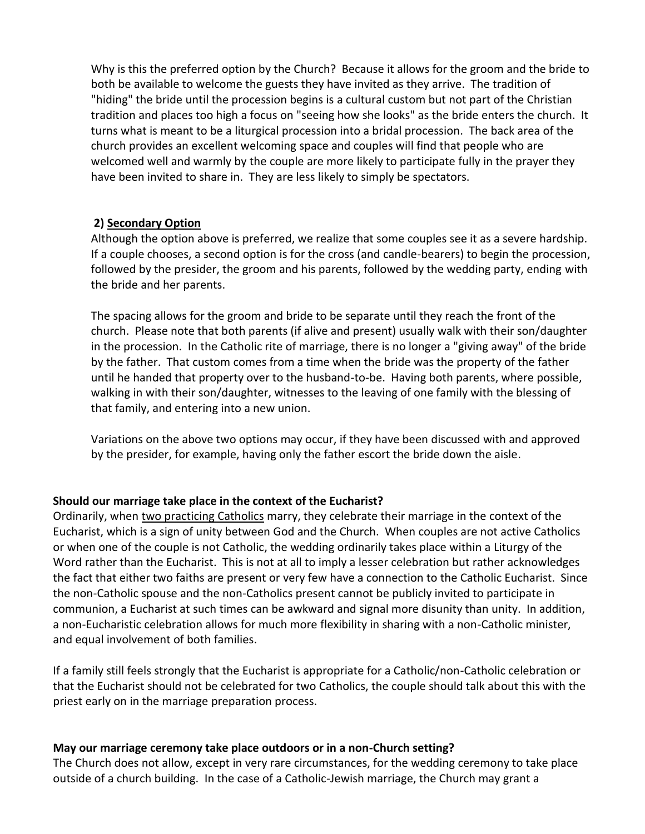Why is this the preferred option by the Church? Because it allows for the groom and the bride to both be available to welcome the guests they have invited as they arrive. The tradition of "hiding" the bride until the procession begins is a cultural custom but not part of the Christian tradition and places too high a focus on "seeing how she looks" as the bride enters the church. It turns what is meant to be a liturgical procession into a bridal procession. The back area of the church provides an excellent welcoming space and couples will find that people who are welcomed well and warmly by the couple are more likely to participate fully in the prayer they have been invited to share in. They are less likely to simply be spectators.

#### **2) Secondary Option**

Although the option above is preferred, we realize that some couples see it as a severe hardship. If a couple chooses, a second option is for the cross (and candle-bearers) to begin the procession, followed by the presider, the groom and his parents, followed by the wedding party, ending with the bride and her parents.

The spacing allows for the groom and bride to be separate until they reach the front of the church. Please note that both parents (if alive and present) usually walk with their son/daughter in the procession. In the Catholic rite of marriage, there is no longer a "giving away" of the bride by the father. That custom comes from a time when the bride was the property of the father until he handed that property over to the husband-to-be. Having both parents, where possible, walking in with their son/daughter, witnesses to the leaving of one family with the blessing of that family, and entering into a new union.

Variations on the above two options may occur, if they have been discussed with and approved by the presider, for example, having only the father escort the bride down the aisle.

#### **Should our marriage take place in the context of the Eucharist?**

Ordinarily, when two practicing Catholics marry, they celebrate their marriage in the context of the Eucharist, which is a sign of unity between God and the Church. When couples are not active Catholics or when one of the couple is not Catholic, the wedding ordinarily takes place within a Liturgy of the Word rather than the Eucharist. This is not at all to imply a lesser celebration but rather acknowledges the fact that either two faiths are present or very few have a connection to the Catholic Eucharist. Since the non-Catholic spouse and the non-Catholics present cannot be publicly invited to participate in communion, a Eucharist at such times can be awkward and signal more disunity than unity. In addition, a non-Eucharistic celebration allows for much more flexibility in sharing with a non-Catholic minister, and equal involvement of both families.

If a family still feels strongly that the Eucharist is appropriate for a Catholic/non-Catholic celebration or that the Eucharist should not be celebrated for two Catholics, the couple should talk about this with the priest early on in the marriage preparation process.

#### **May our marriage ceremony take place outdoors or in a non-Church setting?**

The Church does not allow, except in very rare circumstances, for the wedding ceremony to take place outside of a church building. In the case of a Catholic-Jewish marriage, the Church may grant a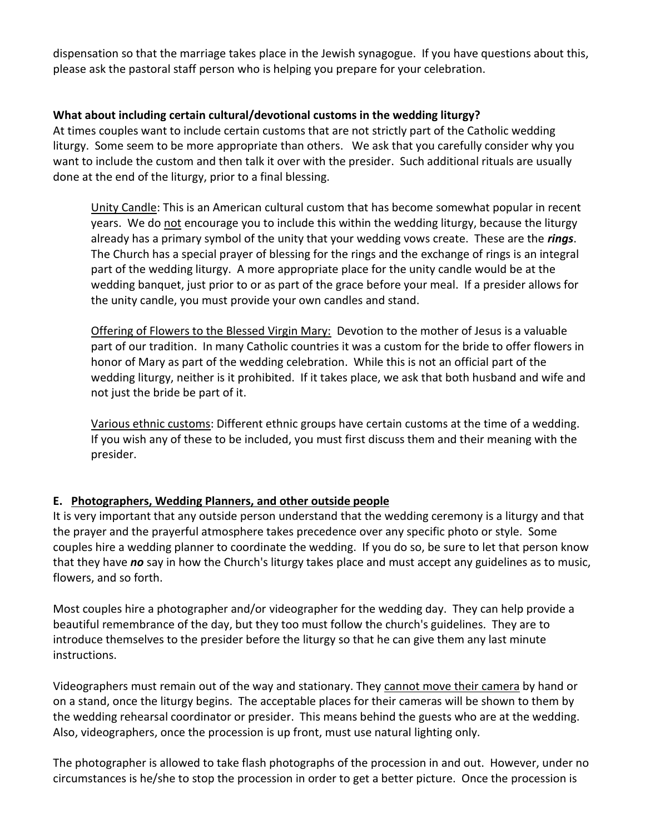dispensation so that the marriage takes place in the Jewish synagogue. If you have questions about this, please ask the pastoral staff person who is helping you prepare for your celebration.

# **What about including certain cultural/devotional customs in the wedding liturgy?**

At times couples want to include certain customs that are not strictly part of the Catholic wedding liturgy. Some seem to be more appropriate than others. We ask that you carefully consider why you want to include the custom and then talk it over with the presider. Such additional rituals are usually done at the end of the liturgy, prior to a final blessing.

Unity Candle: This is an American cultural custom that has become somewhat popular in recent years. We do not encourage you to include this within the wedding liturgy, because the liturgy already has a primary symbol of the unity that your wedding vows create. These are the *rings*. The Church has a special prayer of blessing for the rings and the exchange of rings is an integral part of the wedding liturgy. A more appropriate place for the unity candle would be at the wedding banquet, just prior to or as part of the grace before your meal. If a presider allows for the unity candle, you must provide your own candles and stand.

Offering of Flowers to the Blessed Virgin Mary: Devotion to the mother of Jesus is a valuable part of our tradition. In many Catholic countries it was a custom for the bride to offer flowers in honor of Mary as part of the wedding celebration. While this is not an official part of the wedding liturgy, neither is it prohibited. If it takes place, we ask that both husband and wife and not just the bride be part of it.

Various ethnic customs: Different ethnic groups have certain customs at the time of a wedding. If you wish any of these to be included, you must first discuss them and their meaning with the presider.

## **E. Photographers, Wedding Planners, and other outside people**

It is very important that any outside person understand that the wedding ceremony is a liturgy and that the prayer and the prayerful atmosphere takes precedence over any specific photo or style. Some couples hire a wedding planner to coordinate the wedding. If you do so, be sure to let that person know that they have *no* say in how the Church's liturgy takes place and must accept any guidelines as to music, flowers, and so forth.

Most couples hire a photographer and/or videographer for the wedding day. They can help provide a beautiful remembrance of the day, but they too must follow the church's guidelines. They are to introduce themselves to the presider before the liturgy so that he can give them any last minute instructions.

Videographers must remain out of the way and stationary. They cannot move their camera by hand or on a stand, once the liturgy begins. The acceptable places for their cameras will be shown to them by the wedding rehearsal coordinator or presider. This means behind the guests who are at the wedding. Also, videographers, once the procession is up front, must use natural lighting only.

The photographer is allowed to take flash photographs of the procession in and out. However, under no circumstances is he/she to stop the procession in order to get a better picture. Once the procession is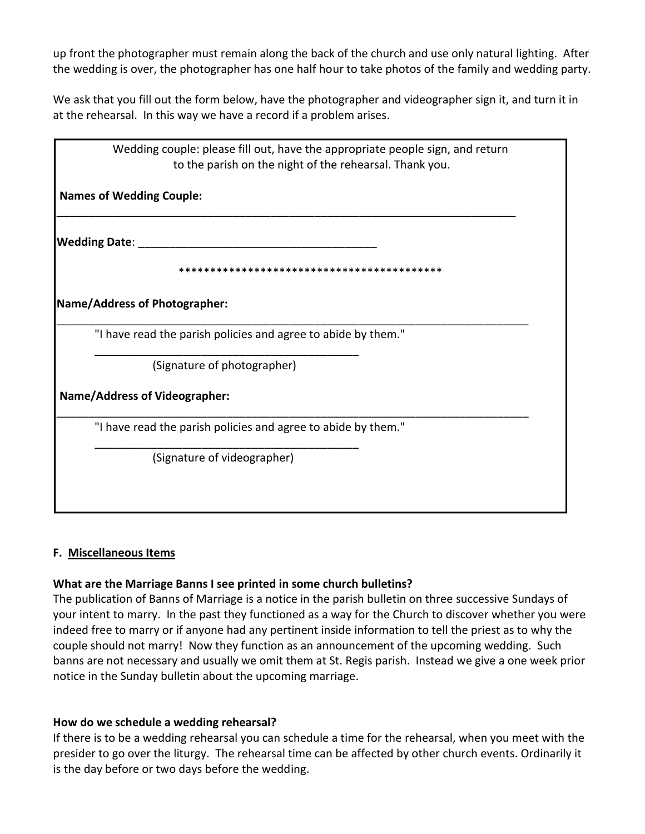up front the photographer must remain along the back of the church and use only natural lighting. After the wedding is over, the photographer has one half hour to take photos of the family and wedding party.

We ask that you fill out the form below, have the photographer and videographer sign it, and turn it in at the rehearsal. In this way we have a record if a problem arises.

| Wedding couple: please fill out, have the appropriate people sign, and return |
|-------------------------------------------------------------------------------|
| to the parish on the night of the rehearsal. Thank you.                       |
| <b>Names of Wedding Couple:</b>                                               |
| <b>Wedding Date:</b>                                                          |
|                                                                               |
| Name/Address of Photographer:                                                 |
| "I have read the parish policies and agree to abide by them."                 |
| (Signature of photographer)                                                   |
| <b>Name/Address of Videographer:</b>                                          |
| "I have read the parish policies and agree to abide by them."                 |
| (Signature of videographer)                                                   |
|                                                                               |
|                                                                               |

## **F. Miscellaneous Items**

#### **What are the Marriage Banns I see printed in some church bulletins?**

The publication of Banns of Marriage is a notice in the parish bulletin on three successive Sundays of your intent to marry. In the past they functioned as a way for the Church to discover whether you were indeed free to marry or if anyone had any pertinent inside information to tell the priest as to why the couple should not marry! Now they function as an announcement of the upcoming wedding. Such banns are not necessary and usually we omit them at St. Regis parish. Instead we give a one week prior notice in the Sunday bulletin about the upcoming marriage.

## **How do we schedule a wedding rehearsal?**

If there is to be a wedding rehearsal you can schedule a time for the rehearsal, when you meet with the presider to go over the liturgy. The rehearsal time can be affected by other church events. Ordinarily it is the day before or two days before the wedding.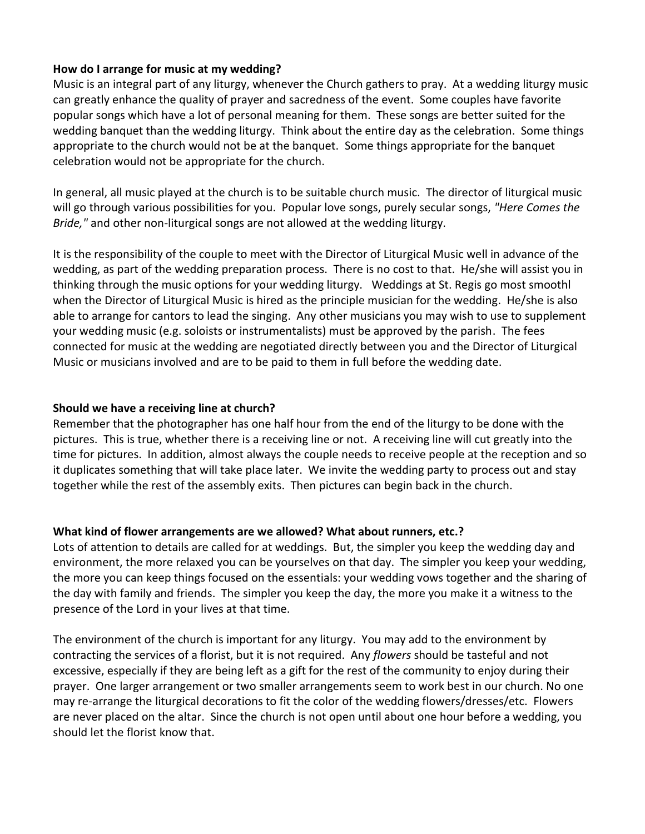#### **How do I arrange for music at my wedding?**

Music is an integral part of any liturgy, whenever the Church gathers to pray. At a wedding liturgy music can greatly enhance the quality of prayer and sacredness of the event. Some couples have favorite popular songs which have a lot of personal meaning for them. These songs are better suited for the wedding banquet than the wedding liturgy. Think about the entire day as the celebration. Some things appropriate to the church would not be at the banquet. Some things appropriate for the banquet celebration would not be appropriate for the church.

In general, all music played at the church is to be suitable church music. The director of liturgical music will go through various possibilities for you. Popular love songs, purely secular songs, *"Here Comes the Bride,"* and other non-liturgical songs are not allowed at the wedding liturgy.

It is the responsibility of the couple to meet with the Director of Liturgical Music well in advance of the wedding, as part of the wedding preparation process. There is no cost to that. He/she will assist you in thinking through the music options for your wedding liturgy. Weddings at St. Regis go most smoothl when the Director of Liturgical Music is hired as the principle musician for the wedding. He/she is also able to arrange for cantors to lead the singing. Any other musicians you may wish to use to supplement your wedding music (e.g. soloists or instrumentalists) must be approved by the parish. The fees connected for music at the wedding are negotiated directly between you and the Director of Liturgical Music or musicians involved and are to be paid to them in full before the wedding date.

#### **Should we have a receiving line at church?**

Remember that the photographer has one half hour from the end of the liturgy to be done with the pictures. This is true, whether there is a receiving line or not. A receiving line will cut greatly into the time for pictures. In addition, almost always the couple needs to receive people at the reception and so it duplicates something that will take place later. We invite the wedding party to process out and stay together while the rest of the assembly exits. Then pictures can begin back in the church.

#### **What kind of flower arrangements are we allowed? What about runners, etc.?**

Lots of attention to details are called for at weddings. But, the simpler you keep the wedding day and environment, the more relaxed you can be yourselves on that day. The simpler you keep your wedding, the more you can keep things focused on the essentials: your wedding vows together and the sharing of the day with family and friends. The simpler you keep the day, the more you make it a witness to the presence of the Lord in your lives at that time.

The environment of the church is important for any liturgy. You may add to the environment by contracting the services of a florist, but it is not required. Any *flowers* should be tasteful and not excessive, especially if they are being left as a gift for the rest of the community to enjoy during their prayer. One larger arrangement or two smaller arrangements seem to work best in our church. No one may re-arrange the liturgical decorations to fit the color of the wedding flowers/dresses/etc. Flowers are never placed on the altar. Since the church is not open until about one hour before a wedding, you should let the florist know that.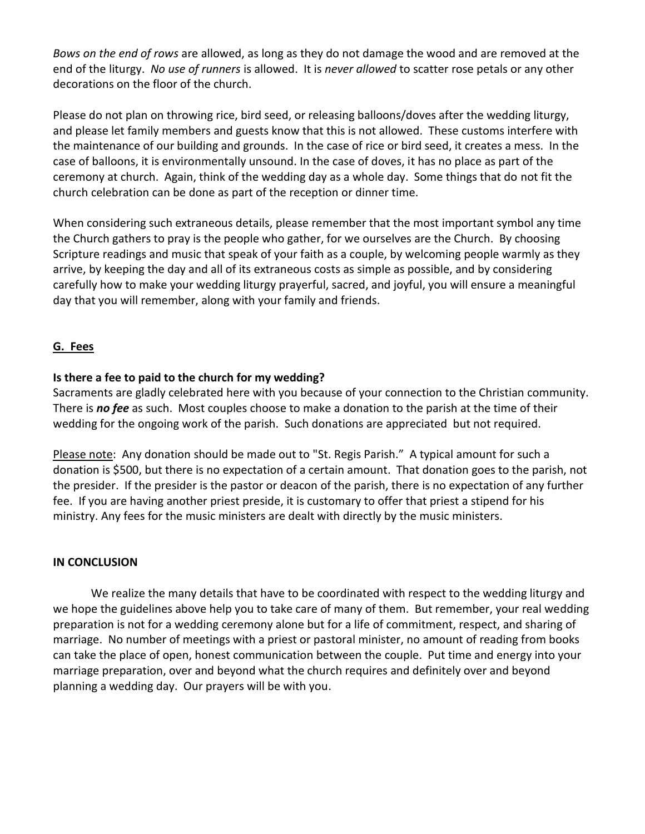*Bows on the end of rows* are allowed, as long as they do not damage the wood and are removed at the end of the liturgy. *No use of runners* is allowed. It is *never allowed* to scatter rose petals or any other decorations on the floor of the church.

Please do not plan on throwing rice, bird seed, or releasing balloons/doves after the wedding liturgy, and please let family members and guests know that this is not allowed. These customs interfere with the maintenance of our building and grounds. In the case of rice or bird seed, it creates a mess. In the case of balloons, it is environmentally unsound. In the case of doves, it has no place as part of the ceremony at church. Again, think of the wedding day as a whole day. Some things that do not fit the church celebration can be done as part of the reception or dinner time.

When considering such extraneous details, please remember that the most important symbol any time the Church gathers to pray is the people who gather, for we ourselves are the Church. By choosing Scripture readings and music that speak of your faith as a couple, by welcoming people warmly as they arrive, by keeping the day and all of its extraneous costs as simple as possible, and by considering carefully how to make your wedding liturgy prayerful, sacred, and joyful, you will ensure a meaningful day that you will remember, along with your family and friends.

## **G. Fees**

## **Is there a fee to paid to the church for my wedding?**

Sacraments are gladly celebrated here with you because of your connection to the Christian community. There is *no fee* as such. Most couples choose to make a donation to the parish at the time of their wedding for the ongoing work of the parish. Such donations are appreciated but not required.

Please note: Any donation should be made out to "St. Regis Parish." A typical amount for such a donation is \$500, but there is no expectation of a certain amount. That donation goes to the parish, not the presider. If the presider is the pastor or deacon of the parish, there is no expectation of any further fee. If you are having another priest preside, it is customary to offer that priest a stipend for his ministry. Any fees for the music ministers are dealt with directly by the music ministers.

#### **IN CONCLUSION**

We realize the many details that have to be coordinated with respect to the wedding liturgy and we hope the guidelines above help you to take care of many of them. But remember, your real wedding preparation is not for a wedding ceremony alone but for a life of commitment, respect, and sharing of marriage. No number of meetings with a priest or pastoral minister, no amount of reading from books can take the place of open, honest communication between the couple. Put time and energy into your marriage preparation, over and beyond what the church requires and definitely over and beyond planning a wedding day. Our prayers will be with you.